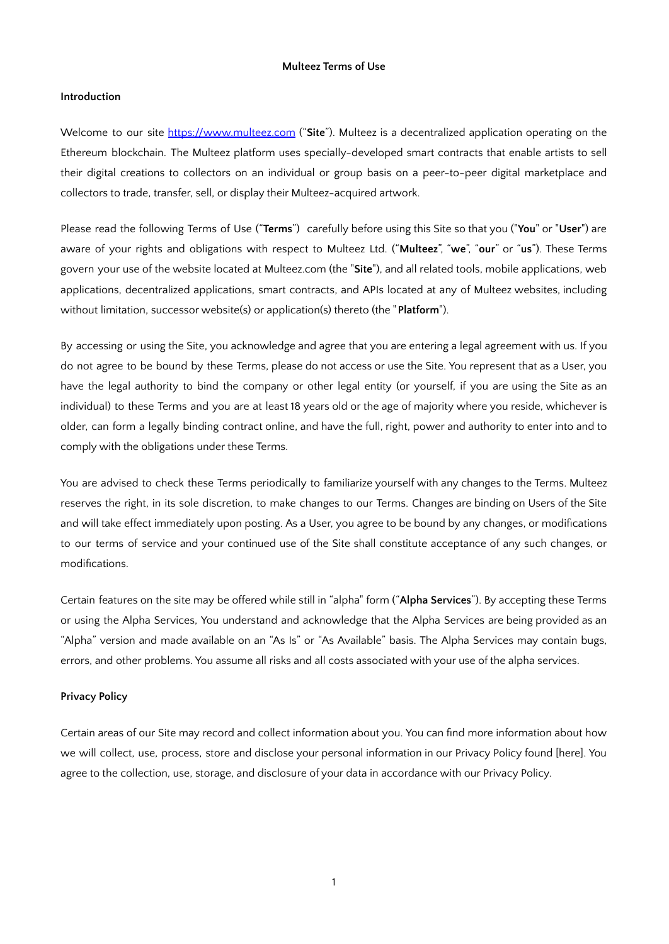## **Multeez Terms of Use**

## **Introduction**

Welcome to our site http[s://www.multeez.c](http://www.multeez.com/)om ("**Site**"). Multeez is a decentralized application operating on the Ethereum blockchain. The Multeez platform uses specially-developed smart contracts that enable artists to sell their digital creations to collectors on an individual or group basis on a peer-to-peer digital marketplace and collectors to trade, transfer, sell, or display their Multeez-acquired artwork.

Please read the following Terms of Use ("**Terms**") carefully before using this Site so that you ("**You**" or "**User**") are aware of your rights and obligations with respect to Multeez Ltd. ("**Multeez**", "**we**", "**our**" or "**us**"). These Terms govern your use of the website located at Multeez.com (the "**Site**"), and all related tools, mobile applications, web applications, decentralized applications, smart contracts, and APIs located at any of Multeez websites, including without limitation, successor website(s) or application(s) thereto (the "**Platform**").

By accessing or using the Site, you acknowledge and agree that you are entering a legal agreement with us. If you do not agree to be bound by these Terms, please do not access or use the Site. You represent that as a User, you have the legal authority to bind the company or other legal entity (or yourself, if you are using the Site as an individual) to these Terms and you are at least 18 years old or the age of majority where you reside, whichever is older, can form a legally binding contract online, and have the full, right, power and authority to enter into and to comply with the obligations under these Terms.

You are advised to check these Terms periodically to familiarize yourself with any changes to the Terms. Multeez reserves the right, in its sole discretion, to make changes to our Terms. Changes are binding on Users of the Site and will take effect immediately upon posting. As a User, you agree to be bound by any changes, or modifications to our terms of service and your continued use of the Site shall constitute acceptance of any such changes, or modifications.

Certain features on the site may be offered while still in "alpha" form ("**Alpha Services**"). By accepting these Terms or using the Alpha Services, You understand and acknowledge that the Alpha Services are being provided as an "Alpha" version and made available on an "As Is" or "As Available" basis. The Alpha Services may contain bugs, errors, and other problems. You assume all risks and all costs associated with your use of the alpha services.

## **Privacy Policy**

Certain areas of our Site may record and collect information about you. You can find more information about how we will collect, use, process, store and disclose your personal information in our Privacy Policy found [here]. You agree to the collection, use, storage, and disclosure of your data in accordance with our Privacy Policy.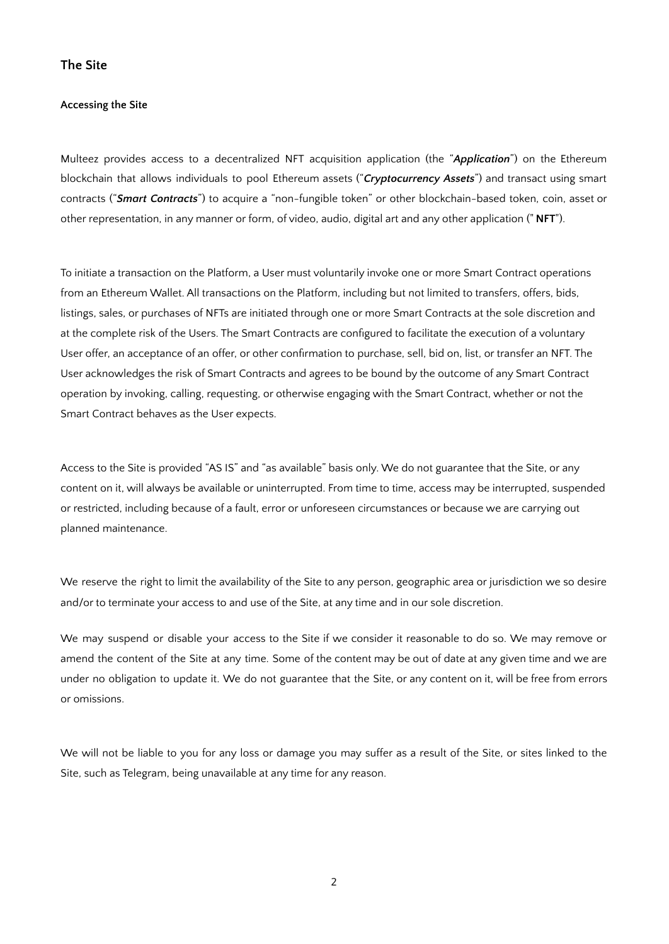## **The Site**

#### **Accessing the Site**

Multeez provides access to a decentralized NFT acquisition application (the "*Application*") on the Ethereum blockchain that allows individuals to pool Ethereum assets ("*Cryptocurrency Assets*") and transact using smart contracts ("*Smart Contracts*") to acquire a "non-fungible token" or other blockchain-based token, coin, asset or other representation, in any manner or form, of video, audio, digital art and any other application (" **NFT**").

To initiate a transaction on the Platform, a User must voluntarily invoke one or more Smart Contract operations from an Ethereum Wallet. All transactions on the Platform, including but not limited to transfers, offers, bids, listings, sales, or purchases of NFTs are initiated through one or more Smart Contracts at the sole discretion and at the complete risk of the Users. The Smart Contracts are configured to facilitate the execution of a voluntary User offer, an acceptance of an offer, or other confirmation to purchase, sell, bid on, list, or transfer an NFT. The User acknowledges the risk of Smart Contracts and agrees to be bound by the outcome of any Smart Contract operation by invoking, calling, requesting, or otherwise engaging with the Smart Contract, whether or not the Smart Contract behaves as the User expects.

Access to the Site is provided "AS IS" and "as available" basis only. We do not guarantee that the Site, or any content on it, will always be available or uninterrupted. From time to time, access may be interrupted, suspended or restricted, including because of a fault, error or unforeseen circumstances or because we are carrying out planned maintenance.

We reserve the right to limit the availability of the Site to any person, geographic area or jurisdiction we so desire and/or to terminate your access to and use of the Site, at any time and in our sole discretion.

We may suspend or disable your access to the Site if we consider it reasonable to do so. We may remove or amend the content of the Site at any time. Some of the content may be out of date at any given time and we are under no obligation to update it. We do not guarantee that the Site, or any content on it, will be free from errors or omissions.

We will not be liable to you for any loss or damage you may suffer as a result of the Site, or sites linked to the Site, such as Telegram, being unavailable at any time for any reason.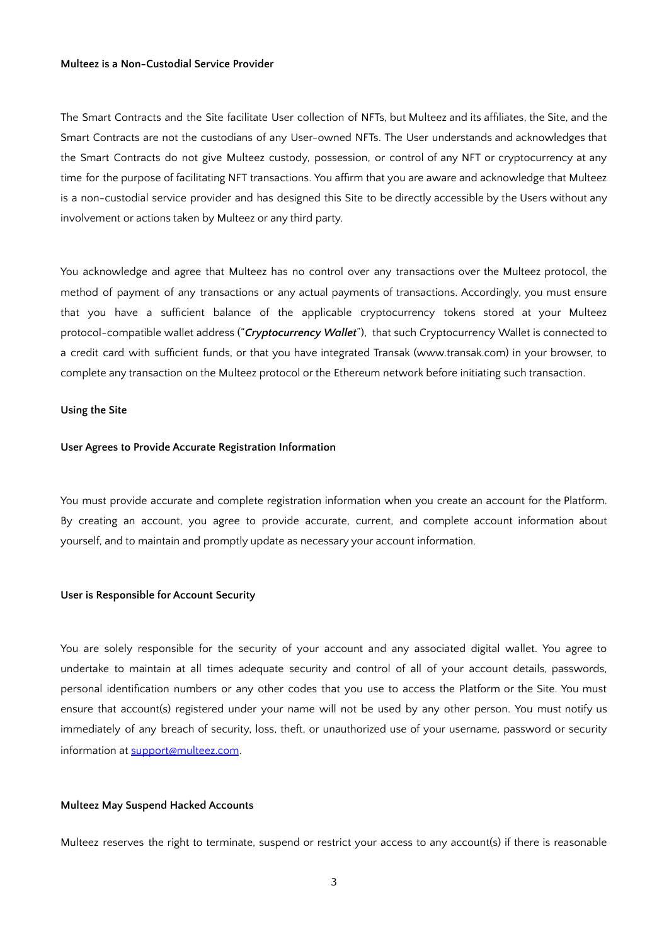### **Multeez is a Non-Custodial Service Provider**

The Smart Contracts and the Site facilitate User collection of NFTs, but Multeez and its affiliates, the Site, and the Smart Contracts are not the custodians of any User-owned NFTs. The User understands and acknowledges that the Smart Contracts do not give Multeez custody, possession, or control of any NFT or cryptocurrency at any time for the purpose of facilitating NFT transactions. You affirm that you are aware and acknowledge that Multeez is a non-custodial service provider and has designed this Site to be directly accessible by the Users without any involvement or actions taken by Multeez or any third party.

You acknowledge and agree that Multeez has no control over any transactions over the Multeez protocol, the method of payment of any transactions or any actual payments of transactions. Accordingly, you must ensure that you have a sufficient balance of the applicable cryptocurrency tokens stored at your Multeez protocol-compatible wallet address ("*Cryptocurrency Wallet*"), that such Cryptocurrency Wallet is connected to a credit card with sufficient funds, or that you have integrated Transak (www.transak.com) in your browser, to complete any transaction on the Multeez protocol or the Ethereum network before initiating such transaction.

#### **Using the Site**

### **User Agrees to Provide Accurate Registration Information**

You must provide accurate and complete registration information when you create an account for the Platform. By creating an account, you agree to provide accurate, current, and complete account information about yourself, and to maintain and promptly update as necessary your account information.

### **User is Responsible for Account Security**

You are solely responsible for the security of your account and any associated digital wallet. You agree to undertake to maintain at all times adequate security and control of all of your account details, passwords, personal identification numbers or any other codes that you use to access the Platform or the Site. You must ensure that account(s) registered under your name will not be used by any other person. You must notify us immediately of any breach of security, loss, theft, or unauthorized use of your username, password or security information at [support@multeez.com](mailto:support@multeez.com).

## **Multeez May Suspend Hacked Accounts**

Multeez reserves the right to terminate, suspend or restrict your access to any account(s) if there is reasonable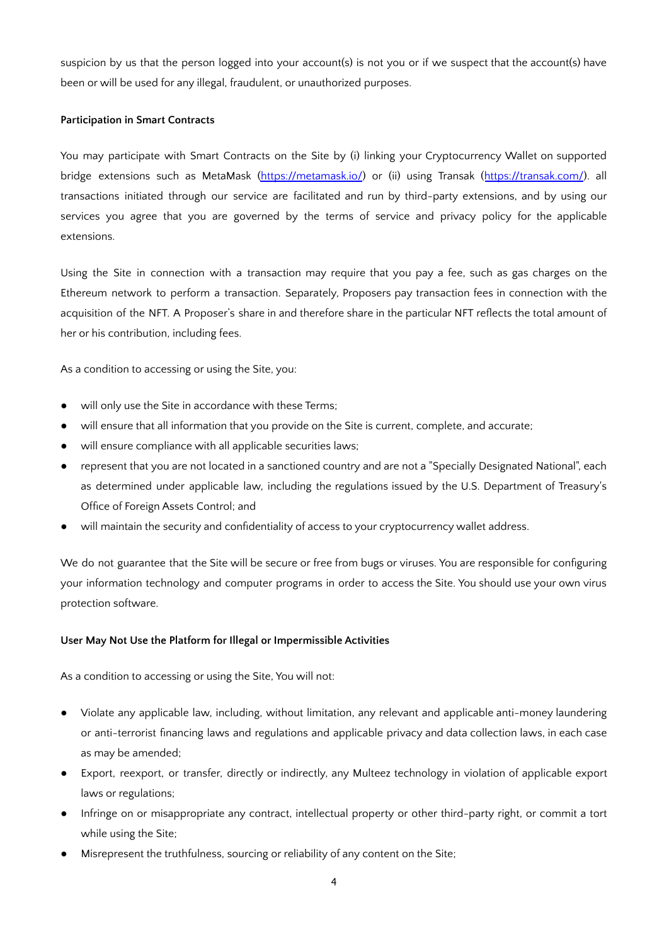suspicion by us that the person logged into your account(s) is not you or if we suspect that the account(s) have been or will be used for any illegal, fraudulent, or unauthorized purposes.

## **Participation in Smart Contracts**

You may participate with Smart Contracts on the Site by (i) linking your Cryptocurrency Wallet on supported bridge extensions such as MetaMask [\(https://metamask.io/](https://metamask.io/)) or (ii) using Transak (<https://transak.com/>). all transactions initiated through our service are facilitated and run by third-party extensions, and by using our services you agree that you are governed by the terms of service and privacy policy for the applicable extensions.

Using the Site in connection with a transaction may require that you pay a fee, such as gas charges on the Ethereum network to perform a transaction. Separately, Proposers pay transaction fees in connection with the acquisition of the NFT. A Proposer's share in and therefore share in the particular NFT reflects the total amount of her or his contribution, including fees.

As a condition to accessing or using the Site, you:

- will only use the Site in accordance with these Terms;
- will ensure that all information that you provide on the Site is current, complete, and accurate;
- will ensure compliance with all applicable securities laws;
- represent that you are not located in a sanctioned country and are not a "Specially Designated National", each as determined under applicable law, including the regulations issued by the U.S. Department of Treasury's Office of Foreign Assets Control; and
- will maintain the security and confidentiality of access to your cryptocurrency wallet address.

We do not guarantee that the Site will be secure or free from bugs or viruses. You are responsible for configuring your information technology and computer programs in order to access the Site. You should use your own virus protection software.

## **User May Not Use the Platform for Illegal or Impermissible Activities**

As a condition to accessing or using the Site, You will not:

- Violate any applicable law, including, without limitation, any relevant and applicable anti-money laundering or anti-terrorist financing laws and regulations and applicable privacy and data collection laws, in each case as may be amended;
- Export, reexport, or transfer, directly or indirectly, any Multeez technology in violation of applicable export laws or regulations;
- Infringe on or misappropriate any contract, intellectual property or other third-party right, or commit a tort while using the Site;
- Misrepresent the truthfulness, sourcing or reliability of any content on the Site;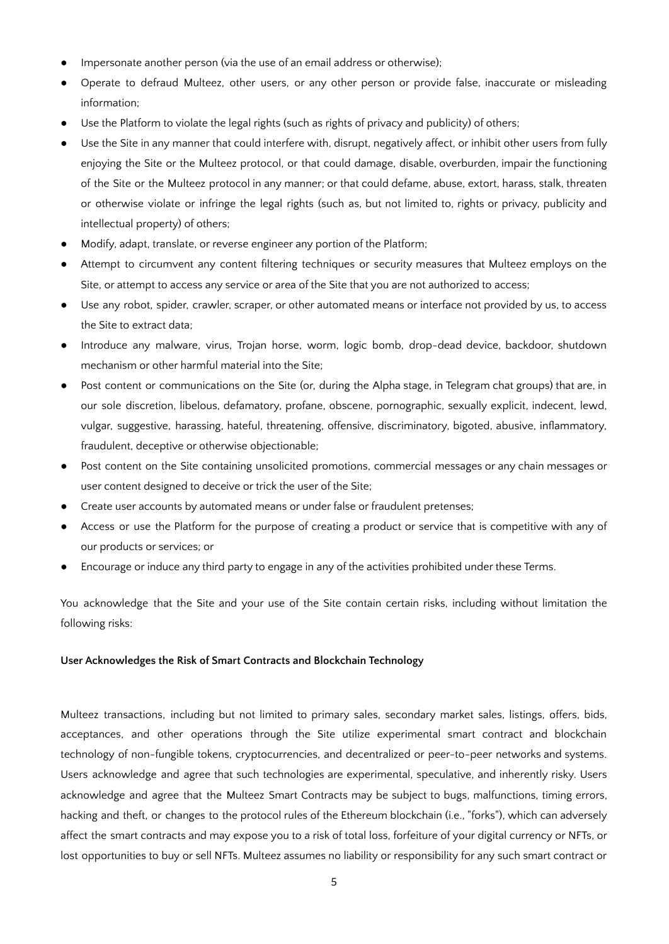- Impersonate another person (via the use of an email address or otherwise);
- Operate to defraud Multeez, other users, or any other person or provide false, inaccurate or misleading information;
- Use the Platform to violate the legal rights (such as rights of privacy and publicity) of others;
- Use the Site in any manner that could interfere with, disrupt, negatively affect, or inhibit other users from fully enjoying the Site or the Multeez protocol, or that could damage, disable, overburden, impair the functioning of the Site or the Multeez protocol in any manner; or that could defame, abuse, extort, harass, stalk, threaten or otherwise violate or infringe the legal rights (such as, but not limited to, rights or privacy, publicity and intellectual property) of others;
- Modify, adapt, translate, or reverse engineer any portion of the Platform;
- Attempt to circumvent any content filtering techniques or security measures that Multeez employs on the Site, or attempt to access any service or area of the Site that you are not authorized to access;
- Use any robot, spider, crawler, scraper, or other automated means or interface not provided by us, to access the Site to extract data;
- Introduce any malware, virus, Trojan horse, worm, logic bomb, drop-dead device, backdoor, shutdown mechanism or other harmful material into the Site;
- Post content or communications on the Site (or, during the Alpha stage, in Telegram chat groups) that are, in our sole discretion, libelous, defamatory, profane, obscene, pornographic, sexually explicit, indecent, lewd, vulgar, suggestive, harassing, hateful, threatening, offensive, discriminatory, bigoted, abusive, inflammatory, fraudulent, deceptive or otherwise objectionable;
- Post content on the Site containing unsolicited promotions, commercial messages or any chain messages or user content designed to deceive or trick the user of the Site;
- Create user accounts by automated means or under false or fraudulent pretenses;
- Access or use the Platform for the purpose of creating a product or service that is competitive with any of our products or services; or
- Encourage or induce any third party to engage in any of the activities prohibited under these Terms.

You acknowledge that the Site and your use of the Site contain certain risks, including without limitation the following risks:

## **User Acknowledges the Risk of Smart Contracts and Blockchain Technology**

Multeez transactions, including but not limited to primary sales, secondary market sales, listings, offers, bids, acceptances, and other operations through the Site utilize experimental smart contract and blockchain technology of non-fungible tokens, cryptocurrencies, and decentralized or peer-to-peer networks and systems. Users acknowledge and agree that such technologies are experimental, speculative, and inherently risky. Users acknowledge and agree that the Multeez Smart Contracts may be subject to bugs, malfunctions, timing errors, hacking and theft, or changes to the protocol rules of the Ethereum blockchain (i.e., "forks"), which can adversely affect the smart contracts and may expose you to a risk of total loss, forfeiture of your digital currency or NFTs, or lost opportunities to buy or sell NFTs. Multeez assumes no liability or responsibility for any such smart contract or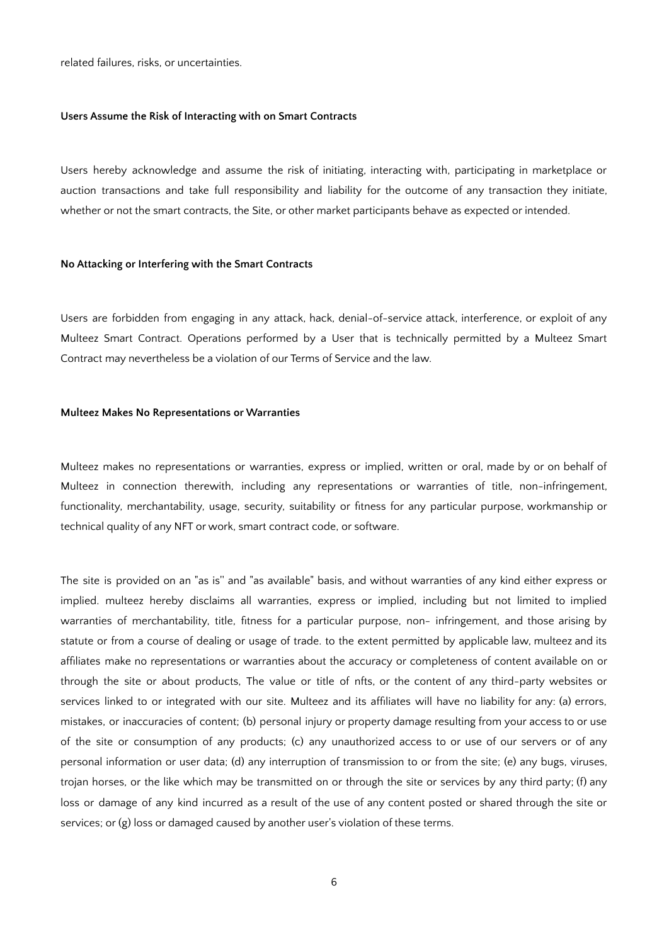related failures, risks, or uncertainties.

#### **Users Assume the Risk of Interacting with on Smart Contracts**

Users hereby acknowledge and assume the risk of initiating, interacting with, participating in marketplace or auction transactions and take full responsibility and liability for the outcome of any transaction they initiate, whether or not the smart contracts, the Site, or other market participants behave as expected or intended.

#### **No Attacking or Interfering with the Smart Contracts**

Users are forbidden from engaging in any attack, hack, denial-of-service attack, interference, or exploit of any Multeez Smart Contract. Operations performed by a User that is technically permitted by a Multeez Smart Contract may nevertheless be a violation of our Terms of Service and the law.

### **Multeez Makes No Representations or Warranties**

Multeez makes no representations or warranties, express or implied, written or oral, made by or on behalf of Multeez in connection therewith, including any representations or warranties of title, non-infringement, functionality, merchantability, usage, security, suitability or fitness for any particular purpose, workmanship or technical quality of any NFT or work, smart contract code, or software.

The site is provided on an "as is'' and "as available" basis, and without warranties of any kind either express or implied. multeez hereby disclaims all warranties, express or implied, including but not limited to implied warranties of merchantability, title, fitness for a particular purpose, non- infringement, and those arising by statute or from a course of dealing or usage of trade. to the extent permitted by applicable law, multeez and its affiliates make no representations or warranties about the accuracy or completeness of content available on or through the site or about products, The value or title of nfts, or the content of any third-party websites or services linked to or integrated with our site. Multeez and its affiliates will have no liability for any: (a) errors, mistakes, or inaccuracies of content; (b) personal injury or property damage resulting from your access to or use of the site or consumption of any products; (c) any unauthorized access to or use of our servers or of any personal information or user data; (d) any interruption of transmission to or from the site; (e) any bugs, viruses, trojan horses, or the like which may be transmitted on or through the site or services by any third party; (f) any loss or damage of any kind incurred as a result of the use of any content posted or shared through the site or services; or (g) loss or damaged caused by another user's violation of these terms.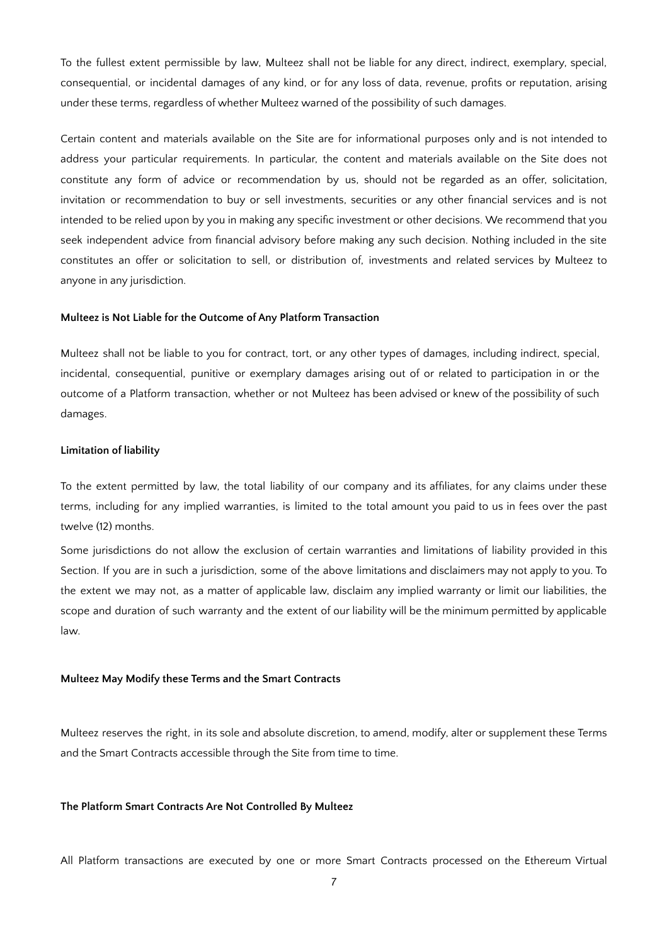To the fullest extent permissible by law, Multeez shall not be liable for any direct, indirect, exemplary, special, consequential, or incidental damages of any kind, or for any loss of data, revenue, profits or reputation, arising under these terms, regardless of whether Multeez warned of the possibility of such damages.

Certain content and materials available on the Site are for informational purposes only and is not intended to address your particular requirements. In particular, the content and materials available on the Site does not constitute any form of advice or recommendation by us, should not be regarded as an offer, solicitation, invitation or recommendation to buy or sell investments, securities or any other financial services and is not intended to be relied upon by you in making any specific investment or other decisions. We recommend that you seek independent advice from financial advisory before making any such decision. Nothing included in the site constitutes an offer or solicitation to sell, or distribution of, investments and related services by Multeez to anyone in any jurisdiction.

#### **Multeez is Not Liable for the Outcome of Any Platform Transaction**

Multeez shall not be liable to you for contract, tort, or any other types of damages, including indirect, special, incidental, consequential, punitive or exemplary damages arising out of or related to participation in or the outcome of a Platform transaction, whether or not Multeez has been advised or knew of the possibility of such damages.

#### **Limitation of liability**

To the extent permitted by law, the total liability of our company and its affiliates, for any claims under these terms, including for any implied warranties, is limited to the total amount you paid to us in fees over the past twelve (12) months.

Some jurisdictions do not allow the exclusion of certain warranties and limitations of liability provided in this Section. If you are in such a jurisdiction, some of the above limitations and disclaimers may not apply to you. To the extent we may not, as a matter of applicable law, disclaim any implied warranty or limit our liabilities, the scope and duration of such warranty and the extent of our liability will be the minimum permitted by applicable law.

#### **Multeez May Modify these Terms and the Smart Contracts**

Multeez reserves the right, in its sole and absolute discretion, to amend, modify, alter or supplement these Terms and the Smart Contracts accessible through the Site from time to time.

## **The Platform Smart Contracts Are Not Controlled By Multeez**

All Platform transactions are executed by one or more Smart Contracts processed on the Ethereum Virtual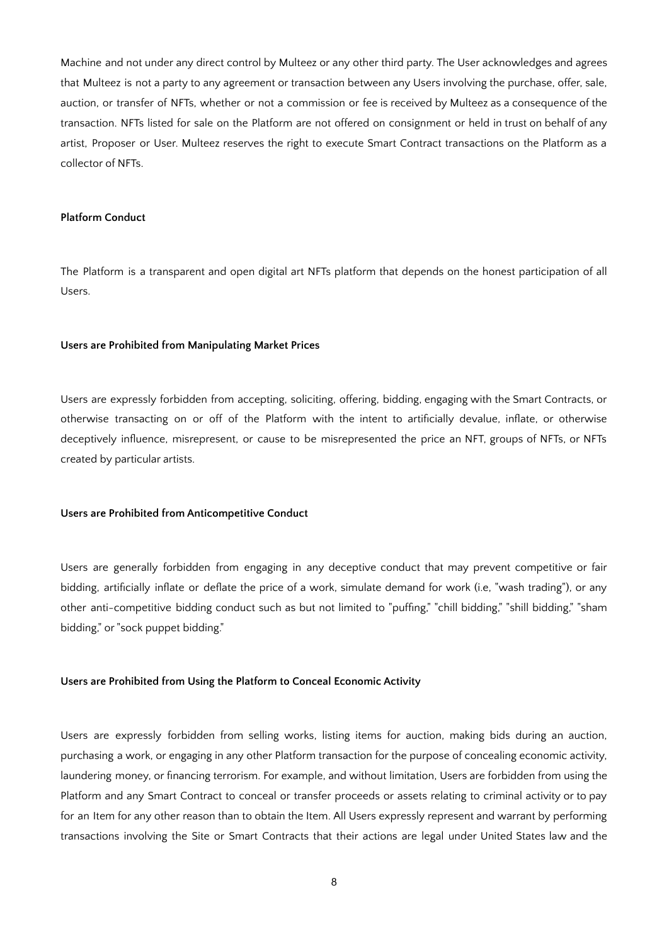Machine and not under any direct control by Multeez or any other third party. The User acknowledges and agrees that Multeez is not a party to any agreement or transaction between any Users involving the purchase, offer, sale, auction, or transfer of NFTs, whether or not a commission or fee is received by Multeez as a consequence of the transaction. NFTs listed for sale on the Platform are not offered on consignment or held in trust on behalf of any artist, Proposer or User. Multeez reserves the right to execute Smart Contract transactions on the Platform as a collector of NFTs.

## **Platform Conduct**

The Platform is a transparent and open digital art NFTs platform that depends on the honest participation of all Users.

#### **Users are Prohibited from Manipulating Market Prices**

Users are expressly forbidden from accepting, soliciting, offering, bidding, engaging with the Smart Contracts, or otherwise transacting on or off of the Platform with the intent to artificially devalue, inflate, or otherwise deceptively influence, misrepresent, or cause to be misrepresented the price an NFT, groups of NFTs, or NFTs created by particular artists.

## **Users are Prohibited from Anticompetitive Conduct**

Users are generally forbidden from engaging in any deceptive conduct that may prevent competitive or fair bidding, artificially inflate or deflate the price of a work, simulate demand for work (i.e, "wash trading"), or any other anti-competitive bidding conduct such as but not limited to "puffing," "chill bidding," "shill bidding," "sham bidding," or "sock puppet bidding."

## **Users are Prohibited from Using the Platform to Conceal Economic Activity**

Users are expressly forbidden from selling works, listing items for auction, making bids during an auction, purchasing a work, or engaging in any other Platform transaction for the purpose of concealing economic activity, laundering money, or financing terrorism. For example, and without limitation, Users are forbidden from using the Platform and any Smart Contract to conceal or transfer proceeds or assets relating to criminal activity or to pay for an Item for any other reason than to obtain the Item. All Users expressly represent and warrant by performing transactions involving the Site or Smart Contracts that their actions are legal under United States law and the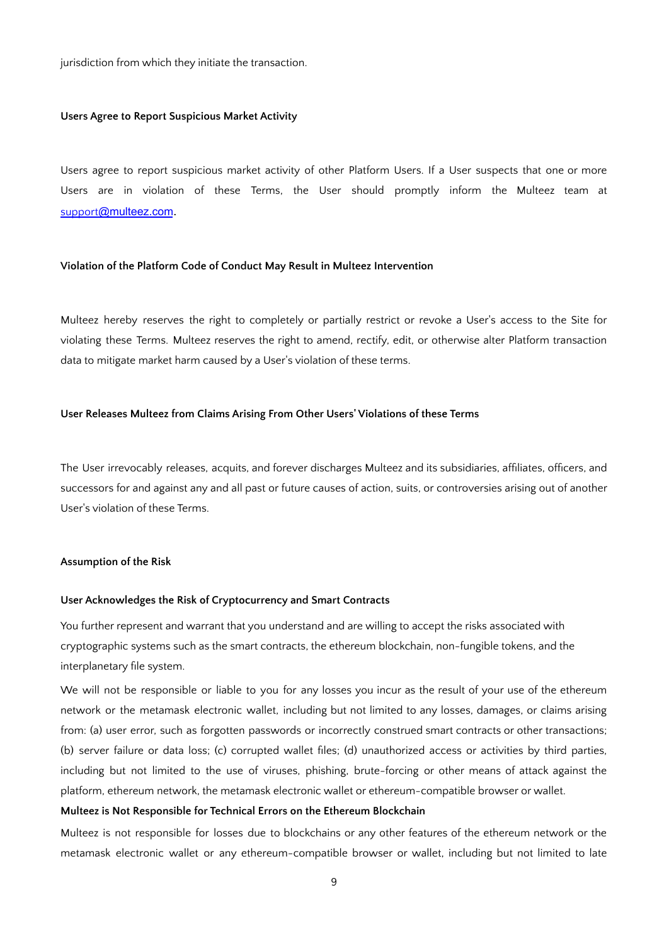jurisdiction from which they initiate the transaction.

### **Users Agree to Report Suspicious Market Activity**

Users agree to report suspicious market activity of other Platform Users. If a User suspects that one or more Users are in violation of these Terms, the User should promptly inform the Multeez team at support[@multeez.com](mailto:support@multeez.com).

### **Violation of the Platform Code of Conduct May Result in Multeez Intervention**

Multeez hereby reserves the right to completely or partially restrict or revoke a User's access to the Site for violating these Terms. Multeez reserves the right to amend, rectify, edit, or otherwise alter Platform transaction data to mitigate market harm caused by a User's violation of these terms.

## **User Releases Multeez from Claims Arising From Other Users' Violations of these Terms**

The User irrevocably releases, acquits, and forever discharges Multeez and its subsidiaries, affiliates, officers, and successors for and against any and all past or future causes of action, suits, or controversies arising out of another User's violation of these Terms.

#### **Assumption of the Risk**

### **User Acknowledges the Risk of Cryptocurrency and Smart Contracts**

You further represent and warrant that you understand and are willing to accept the risks associated with cryptographic systems such as the smart contracts, the ethereum blockchain, non-fungible tokens, and the interplanetary file system.

We will not be responsible or liable to you for any losses you incur as the result of your use of the ethereum network or the metamask electronic wallet, including but not limited to any losses, damages, or claims arising from: (a) user error, such as forgotten passwords or incorrectly construed smart contracts or other transactions; (b) server failure or data loss; (c) corrupted wallet files; (d) unauthorized access or activities by third parties, including but not limited to the use of viruses, phishing, brute-forcing or other means of attack against the platform, ethereum network, the metamask electronic wallet or ethereum-compatible browser or wallet.

#### **Multeez is Not Responsible for Technical Errors on the Ethereum Blockchain**

Multeez is not responsible for losses due to blockchains or any other features of the ethereum network or the metamask electronic wallet or any ethereum-compatible browser or wallet, including but not limited to late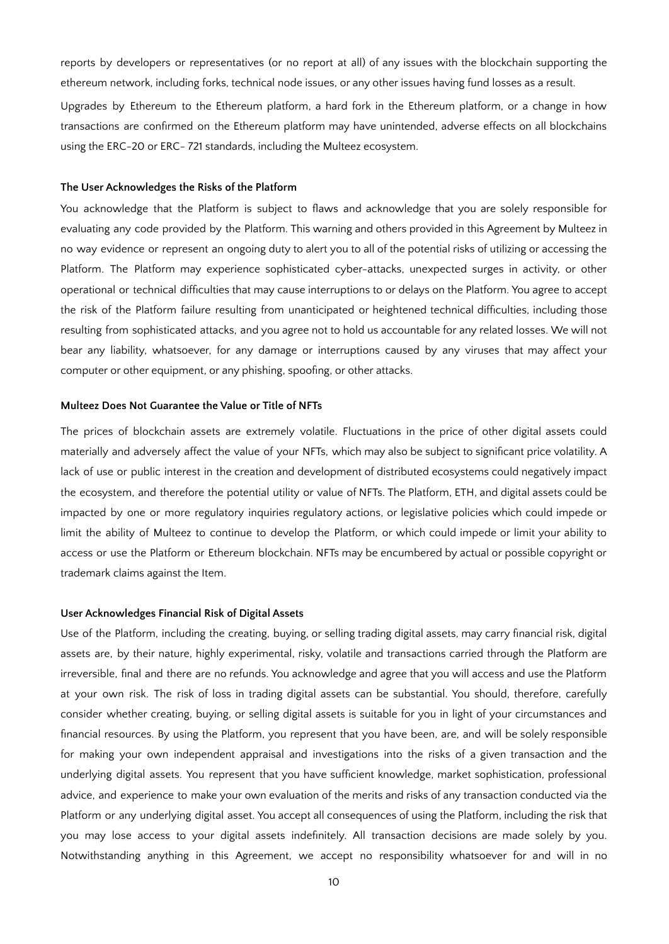reports by developers or representatives (or no report at all) of any issues with the blockchain supporting the ethereum network, including forks, technical node issues, or any other issues having fund losses as a result.

Upgrades by Ethereum to the Ethereum platform, a hard fork in the Ethereum platform, or a change in how transactions are confirmed on the Ethereum platform may have unintended, adverse effects on all blockchains using the ERC-20 or ERC- 721 standards, including the Multeez ecosystem.

#### **The User Acknowledges the Risks of the Platform**

You acknowledge that the Platform is subject to flaws and acknowledge that you are solely responsible for evaluating any code provided by the Platform. This warning and others provided in this Agreement by Multeez in no way evidence or represent an ongoing duty to alert you to all of the potential risks of utilizing or accessing the Platform. The Platform may experience sophisticated cyber-attacks, unexpected surges in activity, or other operational or technical difficulties that may cause interruptions to or delays on the Platform. You agree to accept the risk of the Platform failure resulting from unanticipated or heightened technical difficulties, including those resulting from sophisticated attacks, and you agree not to hold us accountable for any related losses. We will not bear any liability, whatsoever, for any damage or interruptions caused by any viruses that may affect your computer or other equipment, or any phishing, spoofing, or other attacks.

#### **Multeez Does Not Guarantee the Value or Title of NFTs**

The prices of blockchain assets are extremely volatile. Fluctuations in the price of other digital assets could materially and adversely affect the value of your NFTs, which may also be subject to significant price volatility. A lack of use or public interest in the creation and development of distributed ecosystems could negatively impact the ecosystem, and therefore the potential utility or value of NFTs. The Platform, ETH, and digital assets could be impacted by one or more regulatory inquiries regulatory actions, or legislative policies which could impede or limit the ability of Multeez to continue to develop the Platform, or which could impede or limit your ability to access or use the Platform or Ethereum blockchain. NFTs may be encumbered by actual or possible copyright or trademark claims against the Item.

### **User Acknowledges Financial Risk of Digital Assets**

Use of the Platform, including the creating, buying, or selling trading digital assets, may carry financial risk, digital assets are, by their nature, highly experimental, risky, volatile and transactions carried through the Platform are irreversible, final and there are no refunds. You acknowledge and agree that you will access and use the Platform at your own risk. The risk of loss in trading digital assets can be substantial. You should, therefore, carefully consider whether creating, buying, or selling digital assets is suitable for you in light of your circumstances and financial resources. By using the Platform, you represent that you have been, are, and will be solely responsible for making your own independent appraisal and investigations into the risks of a given transaction and the underlying digital assets. You represent that you have sufficient knowledge, market sophistication, professional advice, and experience to make your own evaluation of the merits and risks of any transaction conducted via the Platform or any underlying digital asset. You accept all consequences of using the Platform, including the risk that you may lose access to your digital assets indefinitely. All transaction decisions are made solely by you. Notwithstanding anything in this Agreement, we accept no responsibility whatsoever for and will in no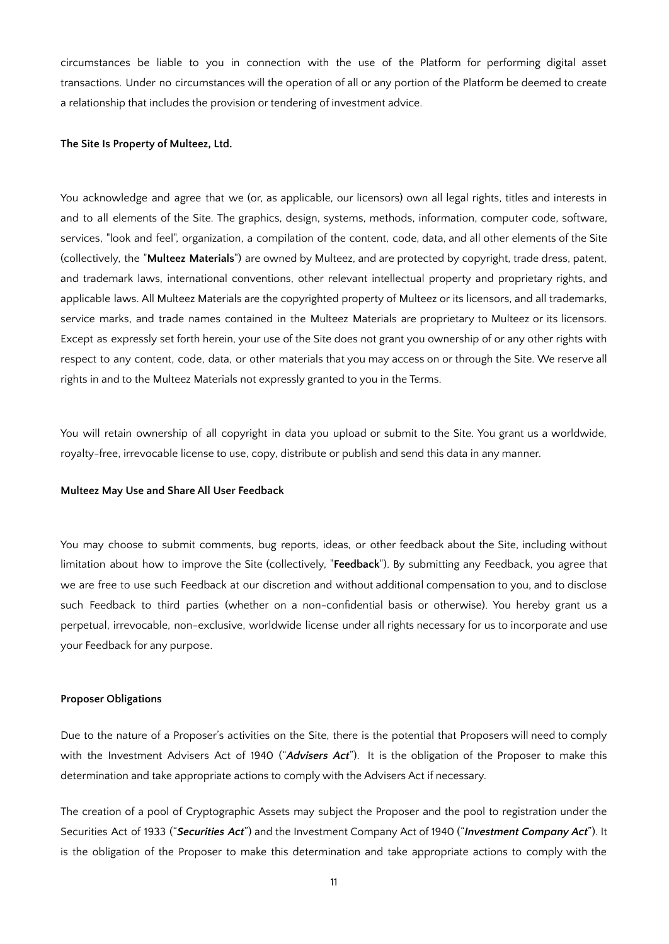circumstances be liable to you in connection with the use of the Platform for performing digital asset transactions. Under no circumstances will the operation of all or any portion of the Platform be deemed to create a relationship that includes the provision or tendering of investment advice.

### **The Site Is Property of Multeez, Ltd.**

You acknowledge and agree that we (or, as applicable, our licensors) own all legal rights, titles and interests in and to all elements of the Site. The graphics, design, systems, methods, information, computer code, software, services, "look and feel", organization, a compilation of the content, code, data, and all other elements of the Site (collectively, the "**Multeez Materials**") are owned by Multeez, and are protected by copyright, trade dress, patent, and trademark laws, international conventions, other relevant intellectual property and proprietary rights, and applicable laws. All Multeez Materials are the copyrighted property of Multeez or its licensors, and all trademarks, service marks, and trade names contained in the Multeez Materials are proprietary to Multeez or its licensors. Except as expressly set forth herein, your use of the Site does not grant you ownership of or any other rights with respect to any content, code, data, or other materials that you may access on or through the Site. We reserve all rights in and to the Multeez Materials not expressly granted to you in the Terms.

You will retain ownership of all copyright in data you upload or submit to the Site. You grant us a worldwide, royalty-free, irrevocable license to use, copy, distribute or publish and send this data in any manner.

#### **Multeez May Use and Share All User Feedback**

You may choose to submit comments, bug reports, ideas, or other feedback about the Site, including without limitation about how to improve the Site (collectively, "**Feedback**"). By submitting any Feedback, you agree that we are free to use such Feedback at our discretion and without additional compensation to you, and to disclose such Feedback to third parties (whether on a non-confidential basis or otherwise). You hereby grant us a perpetual, irrevocable, non-exclusive, worldwide license under all rights necessary for us to incorporate and use your Feedback for any purpose.

### **Proposer Obligations**

Due to the nature of a Proposer's activities on the Site, there is the potential that Proposers will need to comply with the Investment Advisers Act of 1940 ("*Advisers Act*"). It is the obligation of the Proposer to make this determination and take appropriate actions to comply with the Advisers Act if necessary.

The creation of a pool of Cryptographic Assets may subject the Proposer and the pool to registration under the Securities Act of 1933 ("*Securities Act*") and the Investment Company Act of 1940 ("*Investment Company Act*"). It is the obligation of the Proposer to make this determination and take appropriate actions to comply with the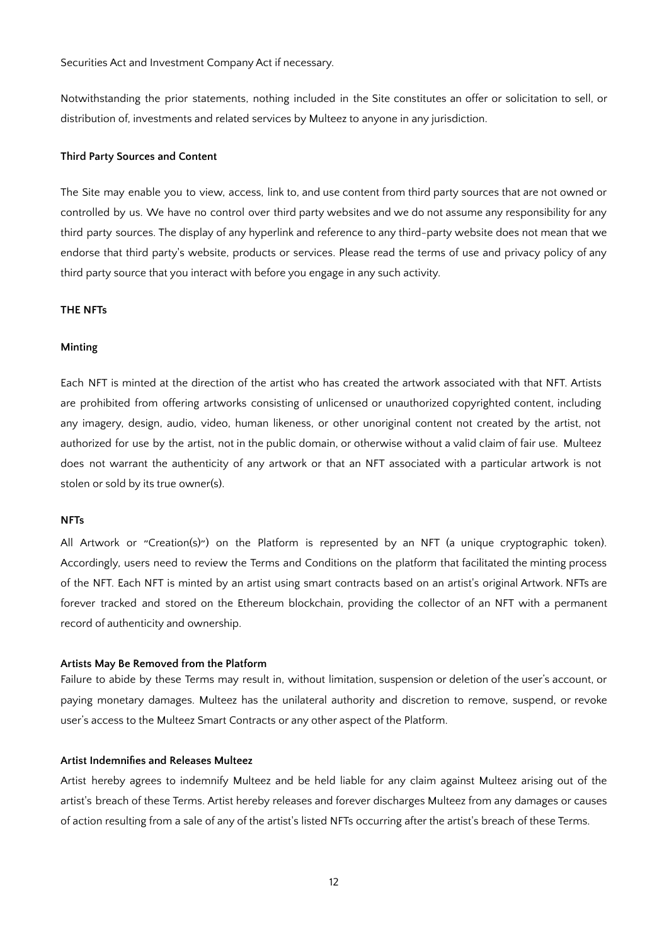Securities Act and Investment Company Act if necessary.

Notwithstanding the prior statements, nothing included in the Site constitutes an offer or solicitation to sell, or distribution of, investments and related services by Multeez to anyone in any jurisdiction.

## **Third Party Sources and Content**

The Site may enable you to view, access, link to, and use content from third party sources that are not owned or controlled by us. We have no control over third party websites and we do not assume any responsibility for any third party sources. The display of any hyperlink and reference to any third-party website does not mean that we endorse that third party's website, products or services. Please read the terms of use and privacy policy of any third party source that you interact with before you engage in any such activity.

### **THE NFTs**

#### **Minting**

Each NFT is minted at the direction of the artist who has created the artwork associated with that NFT. Artists are prohibited from offering artworks consisting of unlicensed or unauthorized copyrighted content, including any imagery, design, audio, video, human likeness, or other unoriginal content not created by the artist, not authorized for use by the artist, not in the public domain, or otherwise without a valid claim of fair use. Multeez does not warrant the authenticity of any artwork or that an NFT associated with a particular artwork is not stolen or sold by its true owner(s).

#### **NFTs**

All Artwork or "Creation(s)") on the Platform is represented by an NFT (a unique cryptographic token). Accordingly, users need to review the Terms and Conditions on the platform that facilitated the minting process of the NFT. Each NFT is minted by an artist using smart contracts based on an artist's original Artwork. NFTs are forever tracked and stored on the Ethereum blockchain, providing the collector of an NFT with a permanent record of authenticity and ownership.

#### **Artists May Be Removed from the Platform**

Failure to abide by these Terms may result in, without limitation, suspension or deletion of the user's account, or paying monetary damages. Multeez has the unilateral authority and discretion to remove, suspend, or revoke user's access to the Multeez Smart Contracts or any other aspect of the Platform.

## **Artist Indemnifies and Releases Multeez**

Artist hereby agrees to indemnify Multeez and be held liable for any claim against Multeez arising out of the artist's breach of these Terms. Artist hereby releases and forever discharges Multeez from any damages or causes of action resulting from a sale of any of the artist's listed NFTs occurring after the artist's breach of these Terms.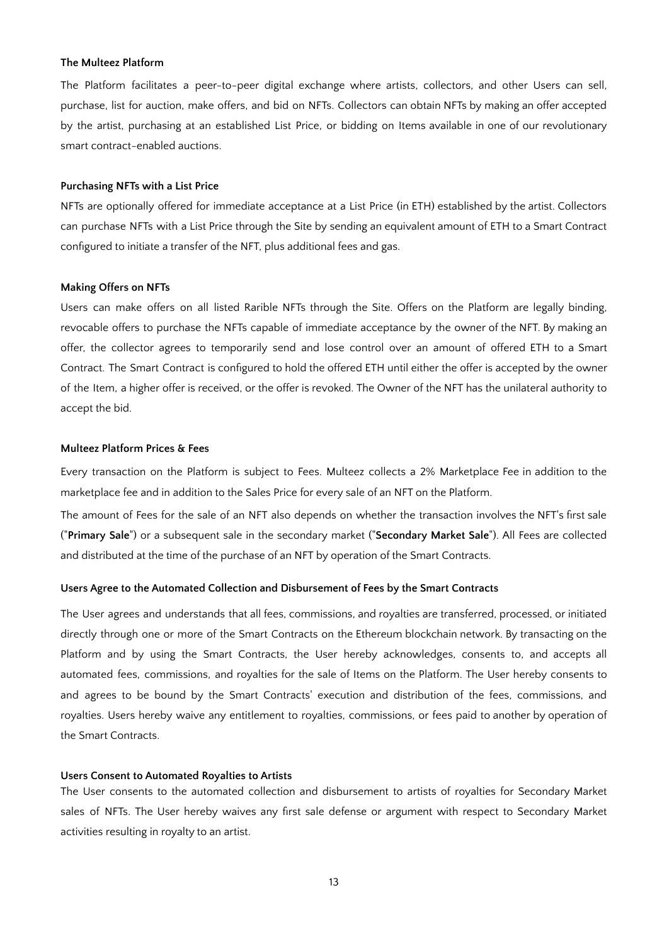#### **The Multeez Platform**

The Platform facilitates a peer-to-peer digital exchange where artists, collectors, and other Users can sell, purchase, list for auction, make offers, and bid on NFTs. Collectors can obtain NFTs by making an offer accepted by the artist, purchasing at an established List Price, or bidding on Items available in one of our revolutionary smart contract-enabled auctions.

### **Purchasing NFTs with a List Price**

NFTs are optionally offered for immediate acceptance at a List Price (in ETH) established by the artist. Collectors can purchase NFTs with a List Price through the Site by sending an equivalent amount of ETH to a Smart Contract configured to initiate a transfer of the NFT, plus additional fees and gas.

#### **Making Offers on NFTs**

Users can make offers on all listed Rarible NFTs through the Site. Offers on the Platform are legally binding, revocable offers to purchase the NFTs capable of immediate acceptance by the owner of the NFT. By making an offer, the collector agrees to temporarily send and lose control over an amount of offered ETH to a Smart Contract. The Smart Contract is configured to hold the offered ETH until either the offer is accepted by the owner of the Item, a higher offer is received, or the offer is revoked. The Owner of the NFT has the unilateral authority to accept the bid.

## **Multeez Platform Prices & Fees**

Every transaction on the Platform is subject to Fees. Multeez collects a 2% Marketplace Fee in addition to the marketplace fee and in addition to the Sales Price for every sale of an NFT on the Platform.

The amount of Fees for the sale of an NFT also depends on whether the transaction involves the NFT's first sale ("**Primary Sale**") or a subsequent sale in the secondary market ("**Secondary Market Sale**"). All Fees are collected and distributed at the time of the purchase of an NFT by operation of the Smart Contracts.

#### **Users Agree to the Automated Collection and Disbursement of Fees by the Smart Contracts**

The User agrees and understands that all fees, commissions, and royalties are transferred, processed, or initiated directly through one or more of the Smart Contracts on the Ethereum blockchain network. By transacting on the Platform and by using the Smart Contracts, the User hereby acknowledges, consents to, and accepts all automated fees, commissions, and royalties for the sale of Items on the Platform. The User hereby consents to and agrees to be bound by the Smart Contracts' execution and distribution of the fees, commissions, and royalties. Users hereby waive any entitlement to royalties, commissions, or fees paid to another by operation of the Smart Contracts.

## **Users Consent to Automated Royalties to Artists**

The User consents to the automated collection and disbursement to artists of royalties for Secondary Market sales of NFTs. The User hereby waives any first sale defense or argument with respect to Secondary Market activities resulting in royalty to an artist.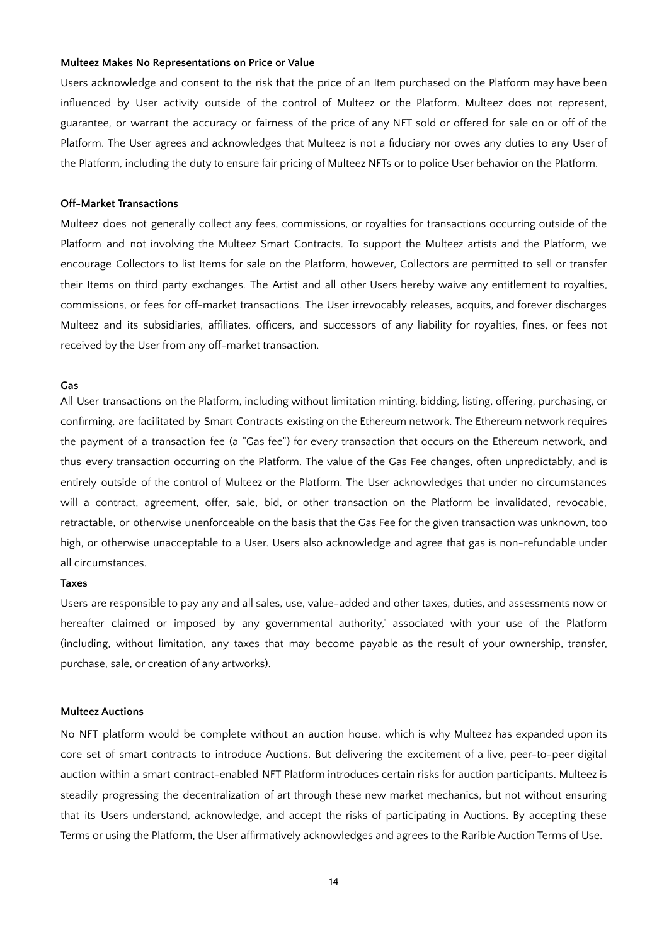#### **Multeez Makes No Representations on Price or Value**

Users acknowledge and consent to the risk that the price of an Item purchased on the Platform may have been influenced by User activity outside of the control of Multeez or the Platform. Multeez does not represent, guarantee, or warrant the accuracy or fairness of the price of any NFT sold or offered for sale on or off of the Platform. The User agrees and acknowledges that Multeez is not a fiduciary nor owes any duties to any User of the Platform, including the duty to ensure fair pricing of Multeez NFTs or to police User behavior on the Platform.

### **Off-Market Transactions**

Multeez does not generally collect any fees, commissions, or royalties for transactions occurring outside of the Platform and not involving the Multeez Smart Contracts. To support the Multeez artists and the Platform, we encourage Collectors to list Items for sale on the Platform, however, Collectors are permitted to sell or transfer their Items on third party exchanges. The Artist and all other Users hereby waive any entitlement to royalties, commissions, or fees for off-market transactions. The User irrevocably releases, acquits, and forever discharges Multeez and its subsidiaries, affiliates, officers, and successors of any liability for royalties, fines, or fees not received by the User from any off-market transaction.

## **Gas**

All User transactions on the Platform, including without limitation minting, bidding, listing, offering, purchasing, or confirming, are facilitated by Smart Contracts existing on the Ethereum network. The Ethereum network requires the payment of a transaction fee (a "Gas fee") for every transaction that occurs on the Ethereum network, and thus every transaction occurring on the Platform. The value of the Gas Fee changes, often unpredictably, and is entirely outside of the control of Multeez or the Platform. The User acknowledges that under no circumstances will a contract, agreement, offer, sale, bid, or other transaction on the Platform be invalidated, revocable, retractable, or otherwise unenforceable on the basis that the Gas Fee for the given transaction was unknown, too high, or otherwise unacceptable to a User. Users also acknowledge and agree that gas is non-refundable under all circumstances.

#### **Taxes**

Users are responsible to pay any and all sales, use, value-added and other taxes, duties, and assessments now or hereafter claimed or imposed by any governmental authority," associated with your use of the Platform (including, without limitation, any taxes that may become payable as the result of your ownership, transfer, purchase, sale, or creation of any artworks).

## **Multeez Auctions**

No NFT platform would be complete without an auction house, which is why Multeez has expanded upon its core set of smart contracts to introduce Auctions. But delivering the excitement of a live, peer-to-peer digital auction within a smart contract-enabled NFT Platform introduces certain risks for auction participants. Multeez is steadily progressing the decentralization of art through these new market mechanics, but not without ensuring that its Users understand, acknowledge, and accept the risks of participating in Auctions. By accepting these Terms or using the Platform, the User affirmatively acknowledges and agrees to the Rarible Auction Terms of Use.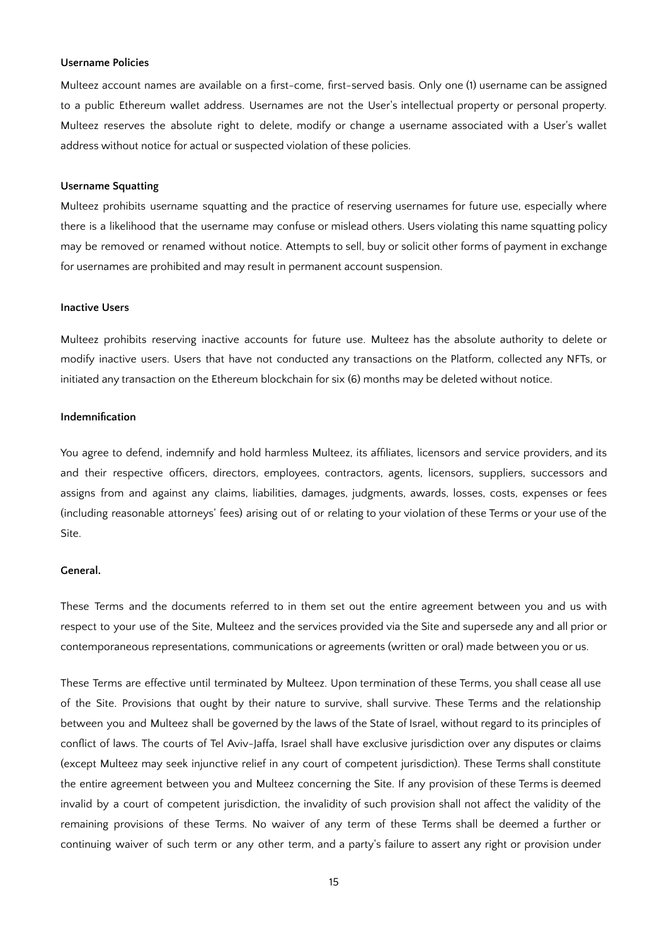#### **Username Policies**

Multeez account names are available on a first-come, first-served basis. Only one (1) username can be assigned to a public Ethereum wallet address. Usernames are not the User's intellectual property or personal property. Multeez reserves the absolute right to delete, modify or change a username associated with a User's wallet address without notice for actual or suspected violation of these policies.

#### **Username Squatting**

Multeez prohibits username squatting and the practice of reserving usernames for future use, especially where there is a likelihood that the username may confuse or mislead others. Users violating this name squatting policy may be removed or renamed without notice. Attempts to sell, buy or solicit other forms of payment in exchange for usernames are prohibited and may result in permanent account suspension.

#### **Inactive Users**

Multeez prohibits reserving inactive accounts for future use. Multeez has the absolute authority to delete or modify inactive users. Users that have not conducted any transactions on the Platform, collected any NFTs, or initiated any transaction on the Ethereum blockchain for six (6) months may be deleted without notice.

## **Indemnification**

You agree to defend, indemnify and hold harmless Multeez, its affiliates, licensors and service providers, and its and their respective officers, directors, employees, contractors, agents, licensors, suppliers, successors and assigns from and against any claims, liabilities, damages, judgments, awards, losses, costs, expenses or fees (including reasonable attorneys' fees) arising out of or relating to your violation of these Terms or your use of the Site.

## **General.**

These Terms and the documents referred to in them set out the entire agreement between you and us with respect to your use of the Site, Multeez and the services provided via the Site and supersede any and all prior or contemporaneous representations, communications or agreements (written or oral) made between you or us.

These Terms are effective until terminated by Multeez. Upon termination of these Terms, you shall cease all use of the Site. Provisions that ought by their nature to survive, shall survive. These Terms and the relationship between you and Multeez shall be governed by the laws of the State of Israel, without regard to its principles of conflict of laws. The courts of Tel Aviv-Jaffa, Israel shall have exclusive jurisdiction over any disputes or claims (except Multeez may seek injunctive relief in any court of competent jurisdiction). These Terms shall constitute the entire agreement between you and Multeez concerning the Site. If any provision of these Terms is deemed invalid by a court of competent jurisdiction, the invalidity of such provision shall not affect the validity of the remaining provisions of these Terms. No waiver of any term of these Terms shall be deemed a further or continuing waiver of such term or any other term, and a party's failure to assert any right or provision under